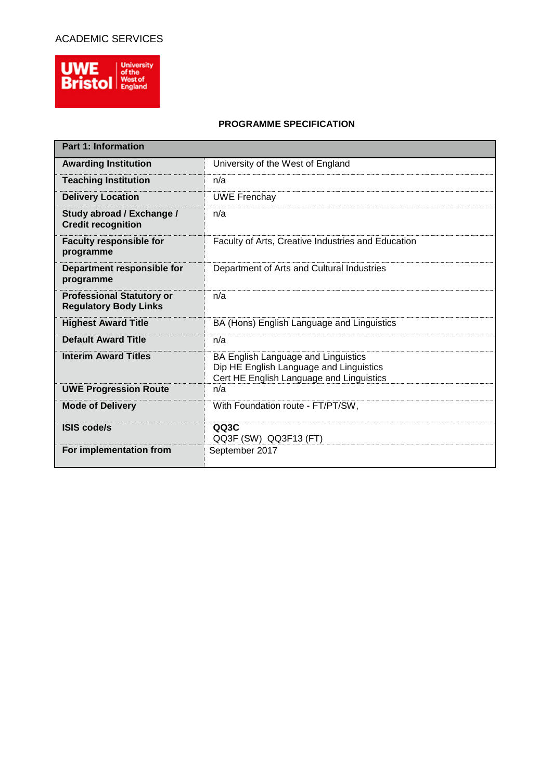## ACADEMIC SERVICES



## **PROGRAMME SPECIFICATION**

| <b>Part 1: Information</b>                                       |                                                                                                                            |  |  |  |  |
|------------------------------------------------------------------|----------------------------------------------------------------------------------------------------------------------------|--|--|--|--|
| <b>Awarding Institution</b>                                      | University of the West of England                                                                                          |  |  |  |  |
| <b>Teaching Institution</b>                                      | n/a                                                                                                                        |  |  |  |  |
| <b>Delivery Location</b>                                         | <b>UWE Frenchay</b>                                                                                                        |  |  |  |  |
| Study abroad / Exchange /<br><b>Credit recognition</b>           | n/a                                                                                                                        |  |  |  |  |
| <b>Faculty responsible for</b><br>programme                      | Faculty of Arts, Creative Industries and Education                                                                         |  |  |  |  |
| Department responsible for<br>programme                          | Department of Arts and Cultural Industries                                                                                 |  |  |  |  |
| <b>Professional Statutory or</b><br><b>Regulatory Body Links</b> | n/a                                                                                                                        |  |  |  |  |
| <b>Highest Award Title</b>                                       | BA (Hons) English Language and Linguistics                                                                                 |  |  |  |  |
| <b>Default Award Title</b>                                       | n/a                                                                                                                        |  |  |  |  |
| <b>Interim Award Titles</b>                                      | BA English Language and Linguistics<br>Dip HE English Language and Linguistics<br>Cert HE English Language and Linguistics |  |  |  |  |
| <b>UWE Progression Route</b>                                     | n/a                                                                                                                        |  |  |  |  |
| <b>Mode of Delivery</b>                                          | With Foundation route - FT/PT/SW,                                                                                          |  |  |  |  |
| <b>ISIS code/s</b>                                               | QQ3C<br>QQ3F (SW) QQ3F13 (FT)                                                                                              |  |  |  |  |
| For implementation from                                          | September 2017                                                                                                             |  |  |  |  |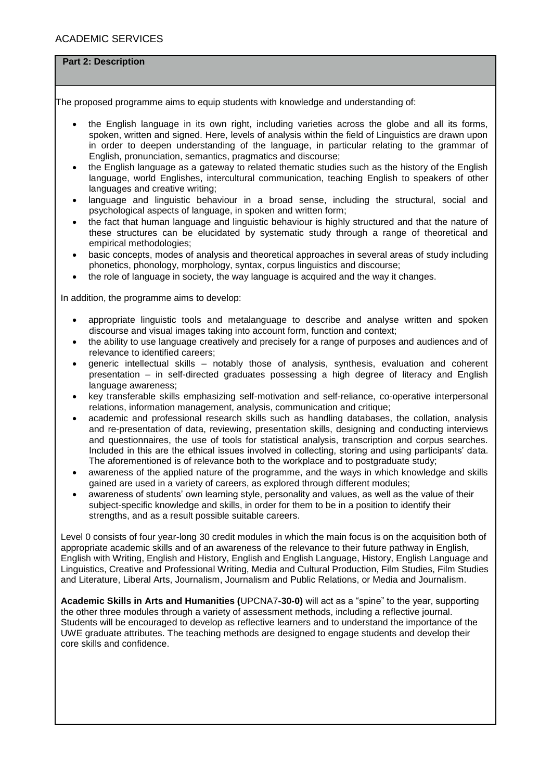## **Part 2: Description**

The proposed programme aims to equip students with knowledge and understanding of:

- the English language in its own right, including varieties across the globe and all its forms, spoken, written and signed. Here, levels of analysis within the field of Linguistics are drawn upon in order to deepen understanding of the language, in particular relating to the grammar of English, pronunciation, semantics, pragmatics and discourse;
- the English language as a gateway to related thematic studies such as the history of the English language, world Englishes, intercultural communication, teaching English to speakers of other languages and creative writing;
- language and linguistic behaviour in a broad sense, including the structural, social and psychological aspects of language, in spoken and written form;
- the fact that human language and linguistic behaviour is highly structured and that the nature of these structures can be elucidated by systematic study through a range of theoretical and empirical methodologies;
- basic concepts, modes of analysis and theoretical approaches in several areas of study including phonetics, phonology, morphology, syntax, corpus linguistics and discourse;
- the role of language in society, the way language is acquired and the way it changes.

In addition, the programme aims to develop:

- appropriate linguistic tools and metalanguage to describe and analyse written and spoken discourse and visual images taking into account form, function and context;
- the ability to use language creatively and precisely for a range of purposes and audiences and of relevance to identified careers;
- generic intellectual skills notably those of analysis, synthesis, evaluation and coherent presentation – in self-directed graduates possessing a high degree of literacy and English language awareness;
- key transferable skills emphasizing self-motivation and self-reliance, co-operative interpersonal relations, information management, analysis, communication and critique;
- academic and professional research skills such as handling databases, the collation, analysis and re-presentation of data, reviewing, presentation skills, designing and conducting interviews and questionnaires, the use of tools for statistical analysis, transcription and corpus searches. Included in this are the ethical issues involved in collecting, storing and using participants' data. The aforementioned is of relevance both to the workplace and to postgraduate study;
- awareness of the applied nature of the programme, and the ways in which knowledge and skills gained are used in a variety of careers, as explored through different modules;
- awareness of students' own learning style, personality and values, as well as the value of their subject-specific knowledge and skills, in order for them to be in a position to identify their strengths, and as a result possible suitable careers.

Level 0 consists of four year-long 30 credit modules in which the main focus is on the acquisition both of appropriate academic skills and of an awareness of the relevance to their future pathway in English, English with Writing, English and History, English and English Language, History, English Language and Linguistics, Creative and Professional Writing, Media and Cultural Production, Film Studies, Film Studies and Literature, Liberal Arts, Journalism, Journalism and Public Relations, or Media and Journalism.

**Academic Skills in Arts and Humanities (**UPCNA7**-30-0)** will act as a "spine" to the year, supporting the other three modules through a variety of assessment methods, including a reflective journal. Students will be encouraged to develop as reflective learners and to understand the importance of the UWE graduate attributes. The teaching methods are designed to engage students and develop their core skills and confidence.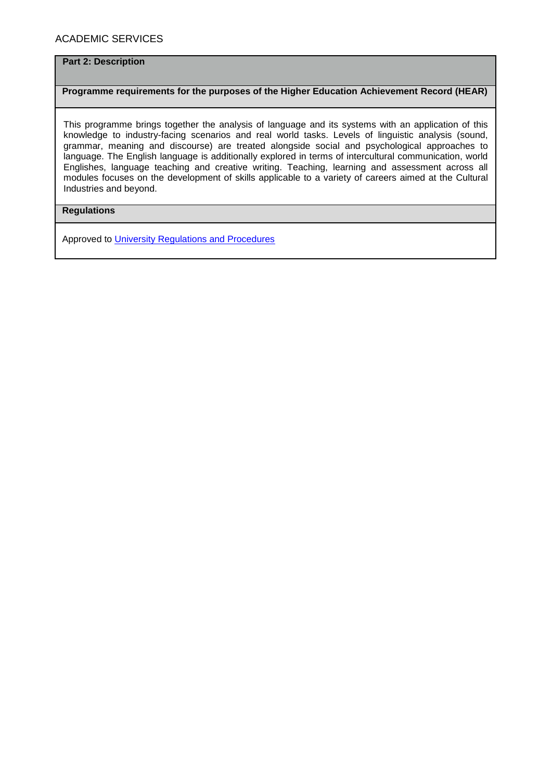## **Part 2: Description**

#### **Programme requirements for the purposes of the Higher Education Achievement Record (HEAR)**

This programme brings together the analysis of language and its systems with an application of this knowledge to industry-facing scenarios and real world tasks. Levels of linguistic analysis (sound, grammar, meaning and discourse) are treated alongside social and psychological approaches to language. The English language is additionally explored in terms of intercultural communication, world Englishes, language teaching and creative writing. Teaching, learning and assessment across all modules focuses on the development of skills applicable to a variety of careers aimed at the Cultural Industries and beyond.

## **Regulations**

Approved to [University Regulations and Procedures](http://www1.uwe.ac.uk/students/academicadvice/assessments/regulationsandprocedures.aspx)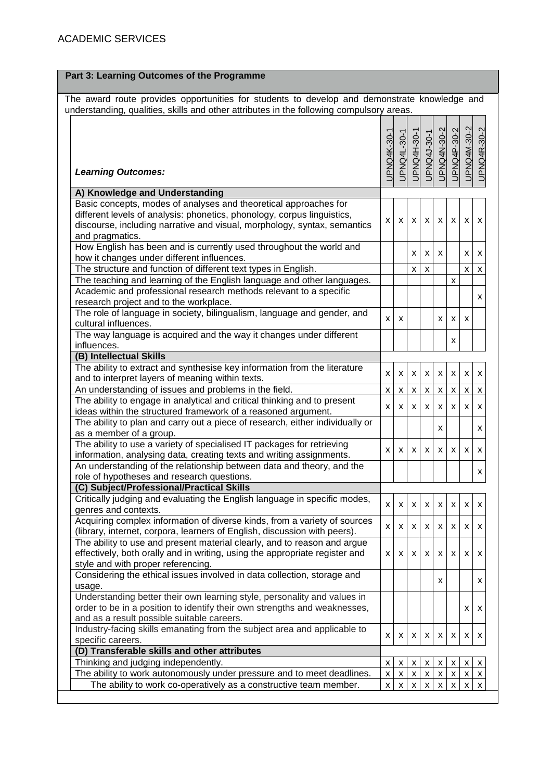| Part 3: Learning Outcomes of the Programme                                                                                                                                                                                                 |             |              |                           |                         |             |                    |                    |             |
|--------------------------------------------------------------------------------------------------------------------------------------------------------------------------------------------------------------------------------------------|-------------|--------------|---------------------------|-------------------------|-------------|--------------------|--------------------|-------------|
| The award route provides opportunities for students to develop and demonstrate knowledge and<br>understanding, qualities, skills and other attributes in the following compulsory areas.                                                   |             |              |                           |                         |             |                    |                    |             |
| <b>Learning Outcomes:</b>                                                                                                                                                                                                                  | JPNQ4K-30-1 | UPNQ4L-30-1  | <b>UPNQ4H-30-1</b>        | UPNQ4J-30-1             | UPNQ4N-30-2 | UPNQ4P-30-2        | UPNQ4M-30-2        | UPNQ4R-30-2 |
| A) Knowledge and Understanding                                                                                                                                                                                                             |             |              |                           |                         |             |                    |                    |             |
| Basic concepts, modes of analyses and theoretical approaches for<br>different levels of analysis: phonetics, phonology, corpus linguistics,<br>discourse, including narrative and visual, morphology, syntax, semantics<br>and pragmatics. | X           | X.           | X                         | X                       | X           | X.                 | X                  | х           |
| How English has been and is currently used throughout the world and<br>how it changes under different influences.                                                                                                                          |             |              | X                         | x                       | X           |                    | X                  | x           |
| The structure and function of different text types in English.                                                                                                                                                                             |             |              | X                         | $\pmb{\chi}$            |             |                    | X                  | x           |
| The teaching and learning of the English language and other languages.                                                                                                                                                                     |             |              |                           |                         |             | $\pmb{\mathsf{X}}$ |                    |             |
| Academic and professional research methods relevant to a specific<br>research project and to the workplace.                                                                                                                                |             |              |                           |                         |             |                    |                    | x           |
| The role of language in society, bilingualism, language and gender, and<br>cultural influences.                                                                                                                                            | x           | x            |                           |                         | х           | x                  | х                  |             |
| The way language is acquired and the way it changes under different<br>influences.                                                                                                                                                         |             |              |                           |                         |             | x                  |                    |             |
| (B) Intellectual Skills                                                                                                                                                                                                                    |             |              |                           |                         |             |                    |                    |             |
| The ability to extract and synthesise key information from the literature<br>and to interpret layers of meaning within texts.                                                                                                              | X           | X            | X                         | X                       | X           | X                  | X                  | X           |
| An understanding of issues and problems in the field.                                                                                                                                                                                      | X           | X            | $\pmb{\mathsf{x}}$        | $\pmb{\mathsf{X}}$      | X           | $\pmb{\mathsf{X}}$ | $\pmb{\times}$     | x           |
| The ability to engage in analytical and critical thinking and to present<br>ideas within the structured framework of a reasoned argument.                                                                                                  | X           | X            | x                         | x                       | х           | x                  | x                  | x           |
| The ability to plan and carry out a piece of research, either individually or<br>as a member of a group.                                                                                                                                   |             |              |                           |                         | x           |                    |                    | x           |
| The ability to use a variety of specialised IT packages for retrieving<br>information, analysing data, creating texts and writing assignments.                                                                                             | X           | X.           | X                         | X                       | X           | X.                 | X                  | x           |
| An understanding of the relationship between data and theory, and the<br>role of hypotheses and research questions.                                                                                                                        |             |              |                           |                         |             |                    |                    | x           |
| (C) Subject/Professional/Practical Skills                                                                                                                                                                                                  |             |              |                           |                         |             |                    |                    |             |
| Critically judging and evaluating the English language in specific modes,<br>genres and contexts.                                                                                                                                          | X           | x            | $\boldsymbol{\mathsf{x}}$ | x                       | X           | X                  | x                  | х           |
| Acquiring complex information of diverse kinds, from a variety of sources<br>(library, internet, corpora, learners of English, discussion with peers).                                                                                     | X           | X.           | X                         | x                       | x           | X.                 | X                  | x           |
| The ability to use and present material clearly, and to reason and argue<br>effectively, both orally and in writing, using the appropriate register and<br>style and with proper referencing.                                              | x           | X.           | X                         | x                       | x           | x                  | x                  | х           |
| Considering the ethical issues involved in data collection, storage and<br>usage.                                                                                                                                                          |             |              |                           |                         | X           |                    |                    | х           |
| Understanding better their own learning style, personality and values in<br>order to be in a position to identify their own strengths and weaknesses,<br>and as a result possible suitable careers.                                        |             |              |                           |                         |             |                    | x                  | x           |
| Industry-facing skills emanating from the subject area and applicable to<br>specific careers.                                                                                                                                              | x           | x            | x                         | X                       | X.          | X.                 | x                  | х           |
| (D) Transferable skills and other attributes                                                                                                                                                                                               |             |              |                           |                         |             |                    |                    |             |
| Thinking and judging independently.                                                                                                                                                                                                        | х           | X            | X                         | $\overline{\mathsf{X}}$ | x           | x                  | x                  | x           |
| The ability to work autonomously under pressure and to meet deadlines.                                                                                                                                                                     | X           | $\mathsf{x}$ | X                         | x                       | х           | $\pmb{\mathsf{x}}$ | $\pmb{\mathsf{X}}$ | X           |
| The ability to work co-operatively as a constructive team member.                                                                                                                                                                          | x           | X            | X                         | X                       |             | X                  | X                  | X           |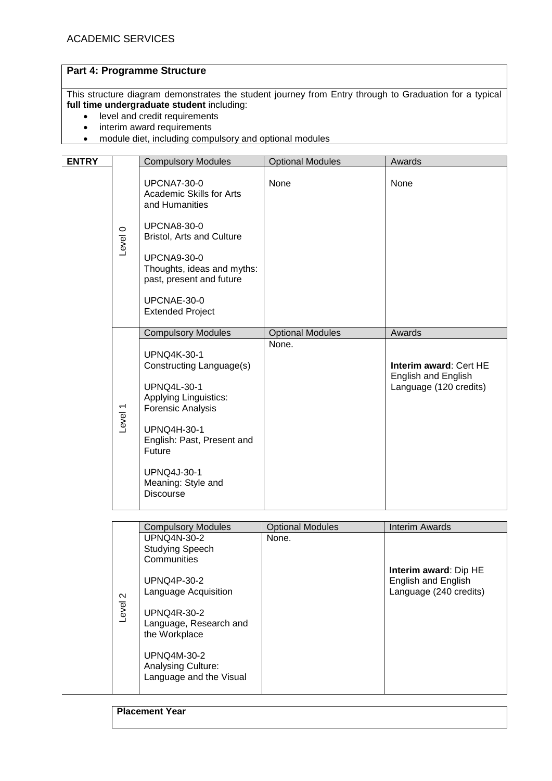## **Part 4: Programme Structure**

This structure diagram demonstrates the student journey from Entry through to Graduation for a typical **full time undergraduate student** including:

- level and credit requirements
- interim award requirements
- module diet, including compulsory and optional modules

| <b>ENTRY</b> |                    | <b>Compulsory Modules</b>                                                    | <b>Optional Modules</b> | Awards                                                                        |
|--------------|--------------------|------------------------------------------------------------------------------|-------------------------|-------------------------------------------------------------------------------|
|              |                    |                                                                              |                         |                                                                               |
|              |                    | <b>UPCNA7-30-0</b><br>Academic Skills for Arts<br>and Humanities             | None                    | None                                                                          |
|              | Level 0            | <b>UPCNA8-30-0</b><br>Bristol, Arts and Culture                              |                         |                                                                               |
|              |                    | <b>UPCNA9-30-0</b><br>Thoughts, ideas and myths:<br>past, present and future |                         |                                                                               |
|              |                    | UPCNAE-30-0<br><b>Extended Project</b>                                       |                         |                                                                               |
|              |                    | <b>Compulsory Modules</b>                                                    | <b>Optional Modules</b> | Awards                                                                        |
|              |                    | <b>UPNQ4K-30-1</b><br>Constructing Language(s)                               | None.                   | Interim award: Cert HE                                                        |
|              | Level <sub>1</sub> | <b>UPNQ4L-30-1</b><br>Applying Linguistics:<br>Forensic Analysis             |                         | English and English<br>Language (120 credits)                                 |
|              |                    | UPNQ4H-30-1<br>English: Past, Present and<br>Future                          |                         |                                                                               |
|              |                    | <b>UPNQ4J-30-1</b><br>Meaning: Style and<br><b>Discourse</b>                 |                         |                                                                               |
|              |                    |                                                                              |                         |                                                                               |
|              |                    | <b>Compulsory Modules</b>                                                    | <b>Optional Modules</b> | <b>Interim Awards</b>                                                         |
|              |                    | <b>UPNQ4N-30-2</b><br><b>Studying Speech</b><br>Communities                  | None.                   |                                                                               |
|              |                    | <b>UPNQ4P-30-2</b><br>Language Acquisition                                   |                         | <b>Interim award: Dip HE</b><br>English and English<br>Language (240 credits) |
|              | Level 2            | <b>UPNQ4R-30-2</b><br>Language, Research and<br>the Workplace                |                         |                                                                               |
|              |                    | UPNQ4M-30-2<br>Analysing Culture:<br>Language and the Visual                 |                         |                                                                               |
|              |                    |                                                                              |                         |                                                                               |

**Placement Year**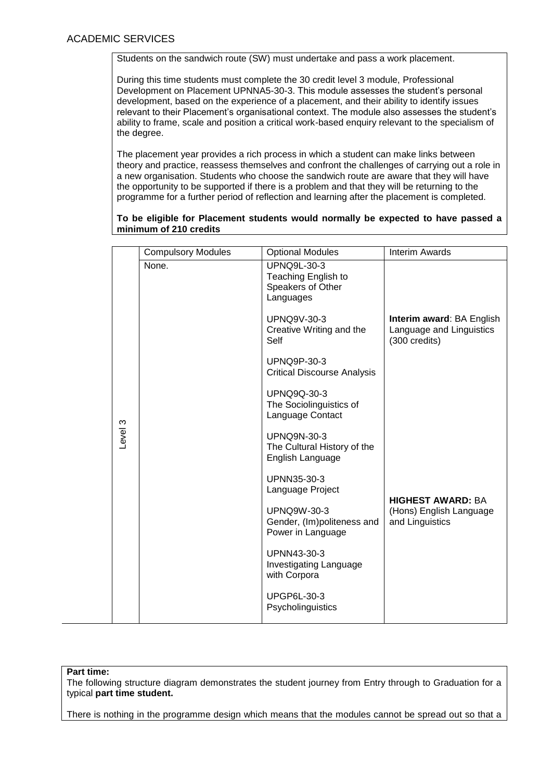Students on the sandwich route (SW) must undertake and pass a work placement.

During this time students must complete the 30 credit level 3 module, Professional Development on Placement UPNNA5-30-3. This module assesses the student's personal development, based on the experience of a placement, and their ability to identify issues relevant to their Placement's organisational context. The module also assesses the student's ability to frame, scale and position a critical work-based enquiry relevant to the specialism of the degree.

The placement year provides a rich process in which a student can make links between theory and practice, reassess themselves and confront the challenges of carrying out a role in a new organisation. Students who choose the sandwich route are aware that they will have the opportunity to be supported if there is a problem and that they will be returning to the programme for a further period of reflection and learning after the placement is completed.

**To be eligible for Placement students would normally be expected to have passed a minimum of 210 credits**

|         | <b>Compulsory Modules</b> | <b>Optional Modules</b>                                                     | <b>Interim Awards</b>                                                  |
|---------|---------------------------|-----------------------------------------------------------------------------|------------------------------------------------------------------------|
|         | None.                     | <b>UPNQ9L-30-3</b><br>Teaching English to<br>Speakers of Other<br>Languages |                                                                        |
|         |                           | <b>UPNQ9V-30-3</b><br>Creative Writing and the<br>Self                      | Interim award: BA English<br>Language and Linguistics<br>(300 credits) |
|         |                           | <b>UPNQ9P-30-3</b><br><b>Critical Discourse Analysis</b>                    |                                                                        |
|         |                           | <b>UPNQ9Q-30-3</b><br>The Sociolinguistics of<br>Language Contact           |                                                                        |
| Level 3 |                           | <b>UPNQ9N-30-3</b><br>The Cultural History of the<br>English Language       |                                                                        |
|         |                           | UPNN35-30-3<br>Language Project                                             | <b>HIGHEST AWARD: BA</b>                                               |
|         |                           | <b>UPNQ9W-30-3</b><br>Gender, (Im)politeness and<br>Power in Language       | (Hons) English Language<br>and Linguistics                             |
|         |                           | UPNN43-30-3<br>Investigating Language<br>with Corpora                       |                                                                        |
|         |                           | <b>UPGP6L-30-3</b><br>Psycholinguistics                                     |                                                                        |

#### **Part time:**

The following structure diagram demonstrates the student journey from Entry through to Graduation for a typical **part time student.**

There is nothing in the programme design which means that the modules cannot be spread out so that a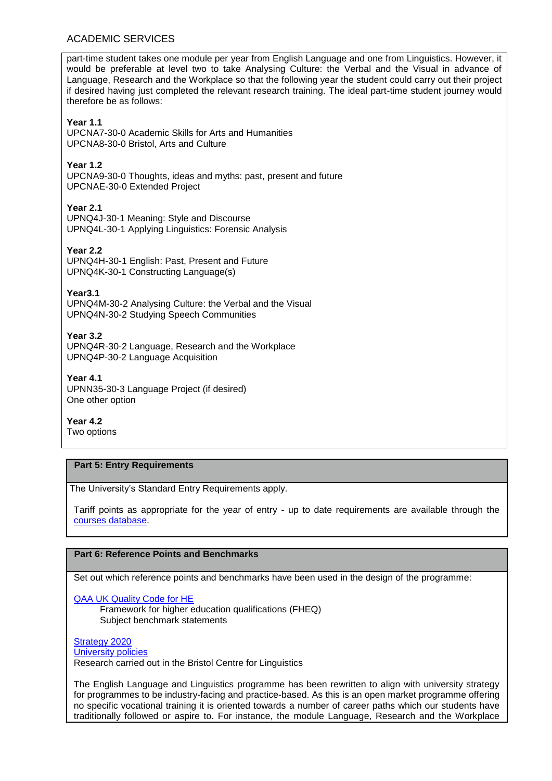## ACADEMIC SERVICES

part-time student takes one module per year from English Language and one from Linguistics. However, it would be preferable at level two to take Analysing Culture: the Verbal and the Visual in advance of Language, Research and the Workplace so that the following year the student could carry out their project if desired having just completed the relevant research training. The ideal part-time student journey would therefore be as follows:

### **Year 1.1**

UPCNA7-30-0 Academic Skills for Arts and Humanities UPCNA8-30-0 Bristol, Arts and Culture

#### **Year 1.2**

UPCNA9-30-0 Thoughts, ideas and myths: past, present and future UPCNAE-30-0 Extended Project

**Year 2.1** UPNQ4J-30-1 Meaning: Style and Discourse UPNQ4L-30-1 Applying Linguistics: Forensic Analysis

**Year 2.2** UPNQ4H-30-1 English: Past, Present and Future UPNQ4K-30-1 Constructing Language(s)

**Year3.1** UPNQ4M-30-2 Analysing Culture: the Verbal and the Visual UPNQ4N-30-2 Studying Speech Communities

**Year 3.2** UPNQ4R-30-2 Language, Research and the Workplace UPNQ4P-30-2 Language Acquisition

**Year 4.1** UPNN35-30-3 Language Project (if desired) One other option

**Year 4.2** Two options

### **Part 5: Entry Requirements**

The University's Standard Entry Requirements apply.

Tariff points as appropriate for the year of entry - up to date requirements are available through the [courses database.](http://www1.uwe.ac.uk/whatcanistudy/courses)

## **Part 6: Reference Points and Benchmarks**

Set out which reference points and benchmarks have been used in the design of the programme:

[QAA UK Quality Code for HE](http://www.qaa.ac.uk/assuringstandardsandquality/quality-code/Pages/default.aspx)

Framework for higher education qualifications (FHEQ) Subject benchmark statements

[Strategy 2020](http://www1.uwe.ac.uk/about/corporateinformation/strategy.aspx) [University](http://www1.uwe.ac.uk/aboutus/policies) policies Research carried out in the Bristol Centre for Linguistics

The English Language and Linguistics programme has been rewritten to align with university strategy for programmes to be industry-facing and practice-based. As this is an open market programme offering no specific vocational training it is oriented towards a number of career paths which our students have traditionally followed or aspire to. For instance, the module Language, Research and the Workplace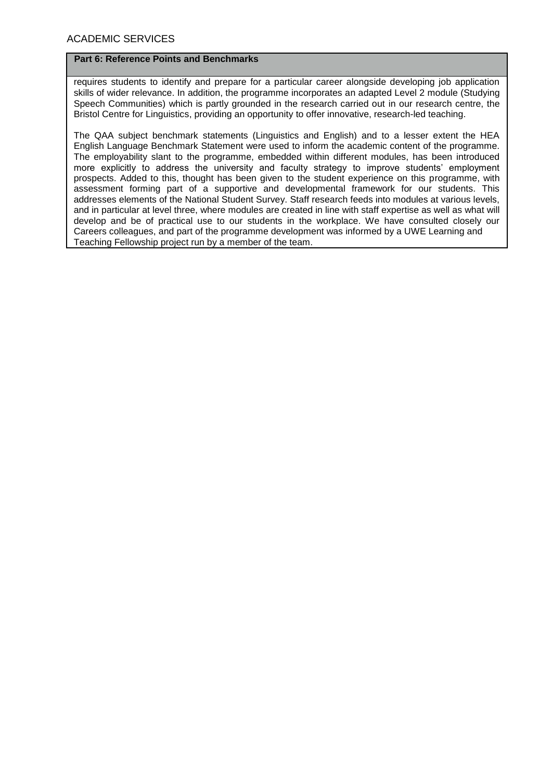#### **Part 6: Reference Points and Benchmarks**

requires students to identify and prepare for a particular career alongside developing job application skills of wider relevance. In addition, the programme incorporates an adapted Level 2 module (Studying Speech Communities) which is partly grounded in the research carried out in our research centre, the Bristol Centre for Linguistics, providing an opportunity to offer innovative, research-led teaching.

The QAA subject benchmark statements (Linguistics and English) and to a lesser extent the HEA English Language Benchmark Statement were used to inform the academic content of the programme. The employability slant to the programme, embedded within different modules, has been introduced more explicitly to address the university and faculty strategy to improve students' employment prospects. Added to this, thought has been given to the student experience on this programme, with assessment forming part of a supportive and developmental framework for our students. This addresses elements of the National Student Survey. Staff research feeds into modules at various levels, and in particular at level three, where modules are created in line with staff expertise as well as what will develop and be of practical use to our students in the workplace. We have consulted closely our Careers colleagues, and part of the programme development was informed by a UWE Learning and Teaching Fellowship project run by a member of the team.